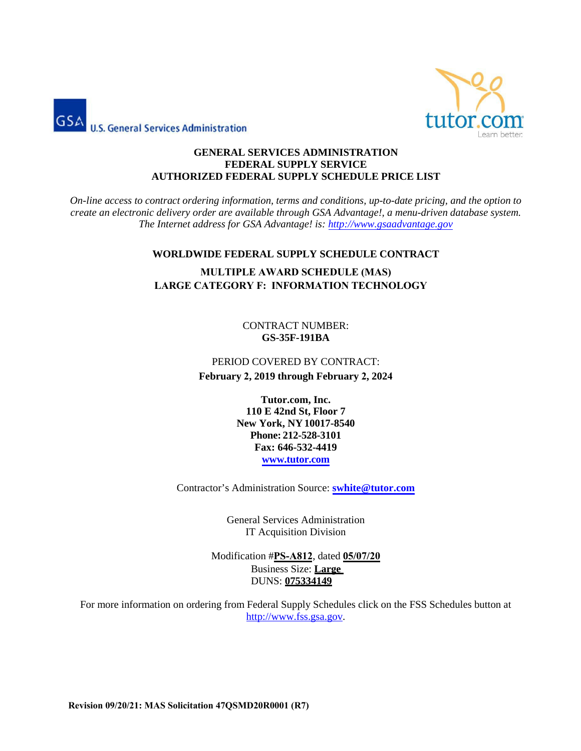



#### **GENERAL SERVICES ADMINISTRATION FEDERAL SUPPLY SERVICE AUTHORIZED FEDERAL SUPPLY SCHEDULE PRICE LIST**

*On-line access to contract ordering information, terms and conditions, up-to-date pricing, and the option to create an electronic delivery order are available through GSA Advantage!, a menu-driven database system. The Internet address for GSA Advantage! is: [http://www.gsaadvantage.gov](http://www.gsaadvantage.gov/)*

## **WORLDWIDE FEDERAL SUPPLY SCHEDULE CONTRACT**

# **MULTIPLE AWARD SCHEDULE (MAS) LARGE CATEGORY F: INFORMATION TECHNOLOGY**

CONTRACT NUMBER: **GS-35F-191BA** 

# PERIOD COVERED BY CONTRACT: **February 2, 2019 through February 2, 2024**

**Tutor.com, Inc. 110 E 42nd St, Floor 7 New York, NY 10017-8540 Phone: 212-528-3101 Fax: 646-532-4419 www.tutor.com**

Contractor's Administration Source: **[swhite@tutor.com](mailto:swhite@tutor.com)**

General Services Administration IT Acquisition Division

Modification #**PS-A812**, dated **05/07/20** Business Size: **Large**  DUNS: **075334149** 

For more information on ordering from Federal Supply Schedules click on the FSS Schedules button at [http://www.fss.gsa.gov.](http://www.fss.gsa.gov/)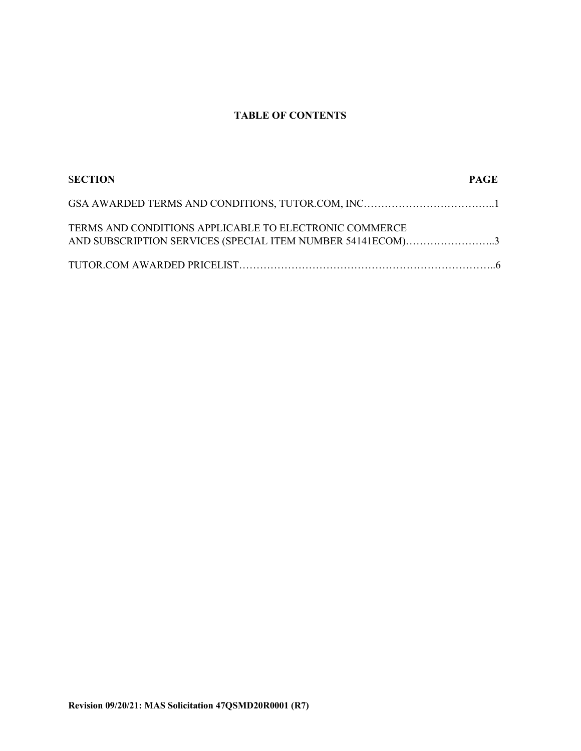## **TABLE OF CONTENTS**

| <b>SECTION</b>                                                                                                       | PAGE |
|----------------------------------------------------------------------------------------------------------------------|------|
|                                                                                                                      |      |
| TERMS AND CONDITIONS APPLICABLE TO ELECTRONIC COMMERCE<br>AND SUBSCRIPTION SERVICES (SPECIAL ITEM NUMBER 54141ECOM)3 |      |
|                                                                                                                      |      |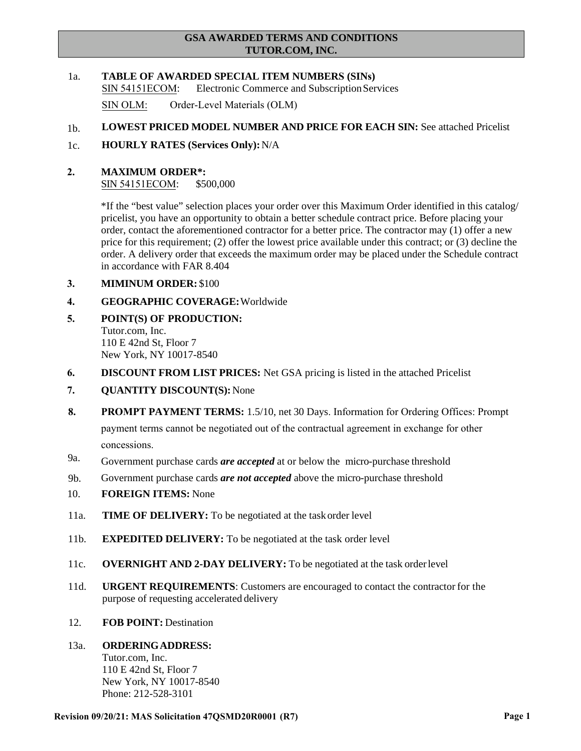## **GSA AWARDED TERMS AND CONDITIONS TUTOR.COM, INC.**

1a. **TABLE OF AWARDED SPECIAL ITEM NUMBERS (SINs)**  SIN 54151ECOM: Electronic Commerce and SubscriptionServices

SIN OLM: Order-Level Materials (OLM)

- $1<sub>b</sub>$ **LOWEST PRICED MODEL NUMBER AND PRICE FOR EACH SIN:** See attached Pricelist
- 1c. **HOURLY RATES (Services Only):**N/A
- **2. MAXIMUM ORDER\*:** SIN 54151ECOM: \$500,000

\*If the "best value" selection places your order over this Maximum Order identified in this catalog/ pricelist, you have an opportunity to obtain a better schedule contract price. Before placing your order, contact the aforementioned contractor for a better price. The contractor may (1) offer a new price for this requirement; (2) offer the lowest price available under this contract; or (3) decline the order. A delivery order that exceeds the maximum order may be placed under the Schedule contract in accordance with FAR 8.404

- **3. MIMINUM ORDER:** \$100
- **4. GEOGRAPHIC COVERAGE:**Worldwide
- **5. POINT(S) OF PRODUCTION:** Tutor.com, Inc. 110 E 42nd St, Floor 7 New York, NY 10017-8540
- **6. DISCOUNT FROM LIST PRICES:** Net GSA pricing is listed in the attached Pricelist
- **7. QUANTITY DISCOUNT(S):** None
- **8. PROMPT PAYMENT TERMS:** 1.5/10, net 30 Days. Information for Ordering Offices: Prompt payment terms cannot be negotiated out of the contractual agreement in exchange for other concessions.
- 9a. Government purchase cards *are accepted* at or below the micro-purchase threshold
- 9b. Government purchase cards *are not accepted* above the micro-purchase threshold
- 10. **FOREIGN ITEMS:** None
- 11a. **TIME OF DELIVERY:** To be negotiated at the task order level
- 11b. **EXPEDITED DELIVERY:** To be negotiated at the task order level
- 11c. **OVERNIGHT AND 2-DAY DELIVERY:** To be negotiated at the task orderlevel
- 11d. **URGENT REQUIREMENTS**: Customers are encouraged to contact the contractor for the purpose of requesting accelerated delivery
- 12. **FOB POINT:** Destination

## 13a. **ORDERINGADDRESS:**

Tutor.com, Inc. 110 E 42nd St, Floor 7 New York, NY 10017-8540 Phone: 212-528-3101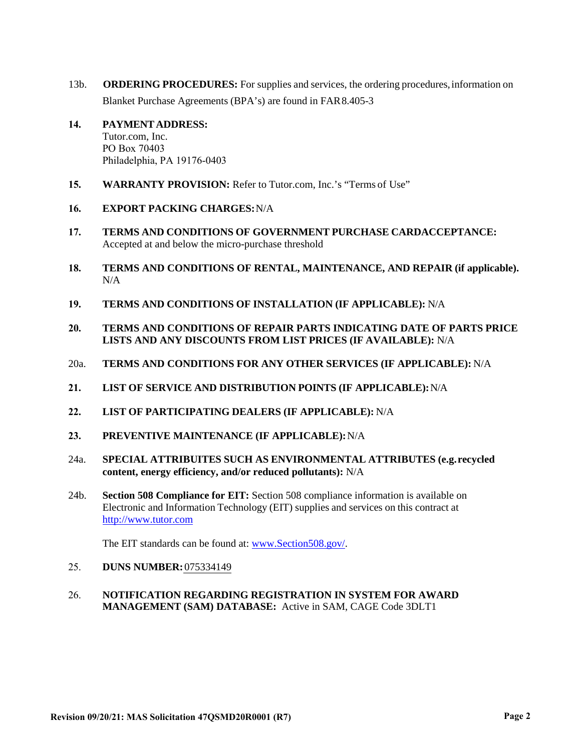- 13b. **ORDERING PROCEDURES:** For supplies and services, the ordering procedures, information on Blanket Purchase Agreements (BPA's) are found in FAR 8.405-3
- **14. PAYMENT ADDRESS:** Tutor.com, Inc. PO Box 70403 Philadelphia, PA 19176-0403
- **15. WARRANTY PROVISION:** Refer to Tutor.com, Inc.'s "Terms of Use"
- **16. EXPORT PACKING CHARGES:**N/A
- **17. TERMS AND CONDITIONS OF GOVERNMENT PURCHASE CARDACCEPTANCE:** Accepted at and below the micro-purchase threshold
- **18. TERMS AND CONDITIONS OF RENTAL, MAINTENANCE, AND REPAIR (if applicable).** N/A
- **19. TERMS AND CONDITIONS OF INSTALLATION (IF APPLICABLE):** N/A
- **20. TERMS AND CONDITIONS OF REPAIR PARTS INDICATING DATE OF PARTS PRICE LISTS AND ANY DISCOUNTS FROM LIST PRICES (IF AVAILABLE):** N/A
- 20a. **TERMS AND CONDITIONS FOR ANY OTHER SERVICES (IF APPLICABLE):** N/A
- **21. LIST OF SERVICE AND DISTRIBUTION POINTS (IF APPLICABLE):**N/A
- **22. LIST OF PARTICIPATING DEALERS (IF APPLICABLE):** N/A
- **23. PREVENTIVE MAINTENANCE (IF APPLICABLE):**N/A
- 24a. **SPECIAL ATTRIBUITES SUCH AS ENVIRONMENTAL ATTRIBUTES (e.g. recycled content, energy efficiency, and/or reduced pollutants):** N/A
- 24b. **Section 508 Compliance for EIT:** Section 508 compliance information is available on Electronic and Information Technology (EIT) supplies and services on this contract at [http://www.tutor.com](http://www.tutor.com/)

The EIT standards can be found at: [www.Section508.gov/.](http://www.section508.gov/)

- 25. **DUNS NUMBER:** 075334149
- 26. **NOTIFICATION REGARDING REGISTRATION IN SYSTEM FOR AWARD MANAGEMENT (SAM) DATABASE:** Active in SAM, CAGE Code 3DLT1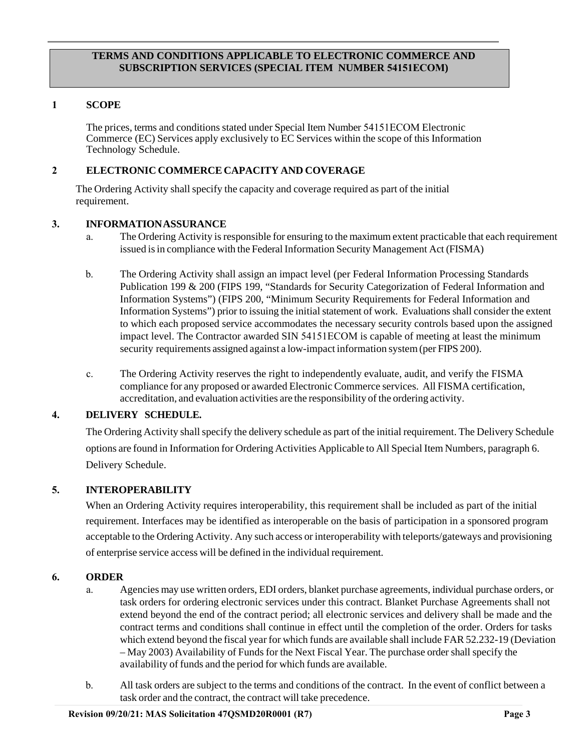## **TERMS AND CONDITIONS APPLICABLE TO ELECTRONIC COMMERCE AND SUBSCRIPTION SERVICES (SPECIAL ITEM NUMBER 54151ECOM)**

## **1. SCOPE**

The prices, terms and conditions stated under Special Item Number 54151ECOM Electronic Commerce (EC) Services apply exclusively to EC Services within the scope of this Information Technology Schedule.

## **2. ELECTRONIC COMMERCE CAPACITY AND COVERAGE**

The Ordering Activity shall specify the capacity and coverage required as part of the initial requirement.

## **3. INFORMATIONASSURANCE**

- a. The Ordering Activity isresponsible for ensuring to the maximum extent practicable that each requirement issued is in compliance with the Federal Information Security Management Act (FISMA)
- b. The Ordering Activity shall assign an impact level (per Federal Information Processing Standards Publication 199 & 200 (FIPS 199, "Standards for Security Categorization of Federal Information and Information Systems") (FIPS 200, "Minimum Security Requirements for Federal Information and Information Systems") prior to issuing the initial statement of work. Evaluations shall consider the extent to which each proposed service accommodates the necessary security controls based upon the assigned impact level. The Contractor awarded SIN 54151ECOM is capable of meeting at least the minimum security requirements assigned against a low-impact information system(per FIPS 200).
- c. The Ordering Activity reserves the right to independently evaluate, audit, and verify the FISMA compliance for any proposed or awarded Electronic Commerce services. All FISMA certification, accreditation, and evaluation activities are the responsibility of the ordering activity.

## **4. DELIVERY SCHEDULE.**

The Ordering Activity shall specify the delivery schedule as part of the initial requirement. The Delivery Schedule options are found in Information for Ordering Activities Applicable to All Special Item Numbers, paragraph 6. Delivery Schedule.

## **5. INTEROPERABILITY**

When an Ordering Activity requires interoperability, this requirement shall be included as part of the initial requirement. Interfaces may be identified as interoperable on the basis of participation in a sponsored program acceptable to the Ordering Activity. Any such access or interoperability with teleports/gateways and provisioning of enterprise service access will be defined in the individual requirement.

#### **6. ORDER**

- a. Agencies may use written orders, EDI orders, blanket purchase agreements, individual purchase orders, or task orders for ordering electronic services under this contract. Blanket Purchase Agreements shall not extend beyond the end of the contract period; all electronic services and delivery shall be made and the contract terms and conditions shall continue in effect until the completion of the order. Orders for tasks which extend beyond the fiscal year for which funds are available shall include FAR 52.232-19 (Deviation – May 2003) Availability of Funds for the Next Fiscal Year. The purchase order shall specify the availability of funds and the period for which funds are available.
- b. All task orders are subject to the terms and conditions of the contract. In the event of conflict between a task order and the contract, the contract will take precedence.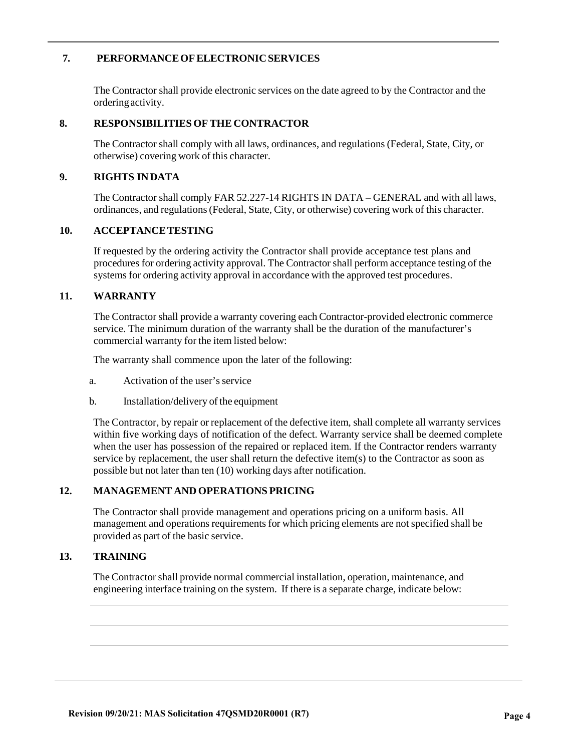## **7. PERFORMANCEOFELECTRONICSERVICES**

The Contractor shall provide electronic services on the date agreed to by the Contractor and the ordering activity.

#### **8. RESPONSIBILITIES OF THE CONTRACTOR**

The Contractor shall comply with all laws, ordinances, and regulations (Federal, State, City, or otherwise) covering work of this character.

#### **9. RIGHTS INDATA**

The Contractor shall comply FAR 52.227-14 RIGHTS IN DATA – GENERAL and with all laws, ordinances, and regulations (Federal, State, City, or otherwise) covering work of this character.

#### **10. ACCEPTANCETESTING**

If requested by the ordering activity the Contractor shall provide acceptance test plans and procedures for ordering activity approval. The Contractor shall perform acceptance testing of the systems for ordering activity approval in accordance with the approved test procedures.

#### **11. WARRANTY**

The Contractor shall provide a warranty covering each Contractor-provided electronic commerce service. The minimum duration of the warranty shall be the duration of the manufacturer's commercial warranty for the item listed below:

The warranty shall commence upon the later of the following:

a. Activation of the user's service

b. Installation/delivery of the equipment

The Contractor, by repair or replacement of the defective item, shall complete all warranty services within five working days of notification of the defect. Warranty service shall be deemed complete when the user has possession of the repaired or replaced item. If the Contractor renders warranty service by replacement, the user shall return the defective item(s) to the Contractor as soon as possible but not later than ten (10) working days after notification.

#### **12. MANAGEMENT AND OPERATIONS PRICING**

The Contractor shall provide management and operations pricing on a uniform basis. All management and operations requirements for which pricing elements are not specified shall be provided as part of the basic service.

#### **13. TRAINING**

The Contractor shall provide normal commercial installation, operation, maintenance, and engineering interface training on the system. If there is a separate charge, indicate below: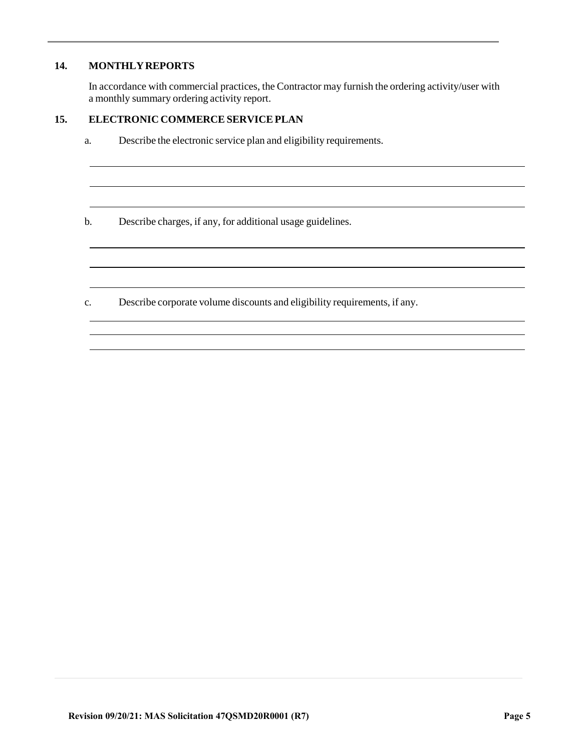## **14. MONTHLYREPORTS**

In accordance with commercial practices, the Contractor may furnish the ordering activity/user with a monthly summary ordering activity report.

## **15. ELECTRONIC COMMERCESERVICEPLAN**

- a. Describe the electronic service plan and eligibility requirements.
- b. Describe charges, if any, for additional usage guidelines.
- c. Describe corporate volume discounts and eligibility requirements, if any.